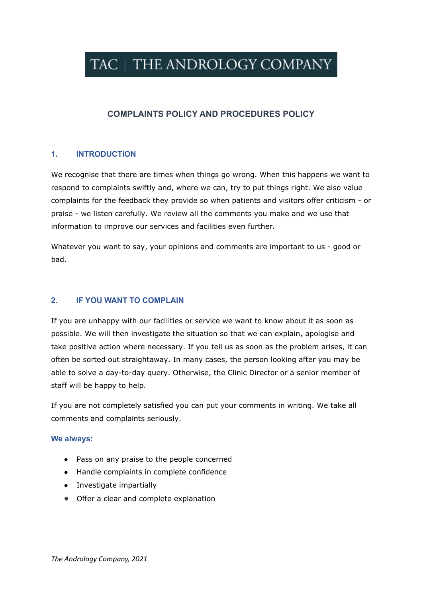# TAC | THE ANDROLOGY COMPANY

# **COMPLAINTS POLICY AND PROCEDURES POLICY**

## **1. INTRODUCTION**

We recognise that there are times when things go wrong. When this happens we want to respond to complaints swiftly and, where we can, try to put things right. We also value complaints for the feedback they provide so when patients and visitors offer criticism - or praise - we listen carefully. We review all the comments you make and we use that information to improve our services and facilities even further.

Whatever you want to say, your opinions and comments are important to us - good or bad.

#### **2. IF YOU WANT TO COMPLAIN**

If you are unhappy with our facilities or service we want to know about it as soon as possible. We will then investigate the situation so that we can explain, apologise and take positive action where necessary. If you tell us as soon as the problem arises, it can often be sorted out straightaway. In many cases, the person looking after you may be able to solve a day-to-day query. Otherwise, the Clinic Director or a senior member of staff will be happy to help.

If you are not completely satisfied you can put your comments in writing. We take all comments and complaints seriously.

#### **We always:**

- Pass on any praise to the people concerned
- Handle complaints in complete confidence
- Investigate impartially
- Offer a clear and complete explanation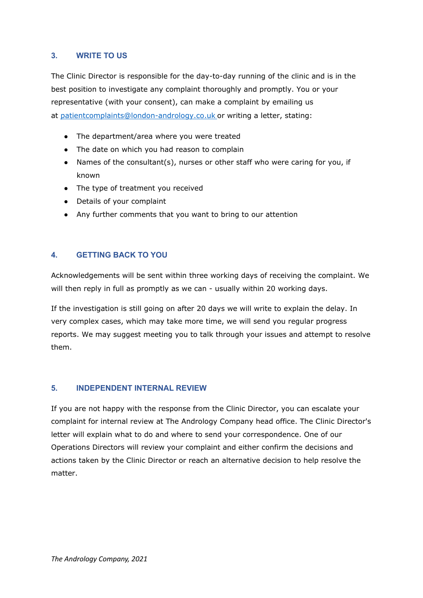# **3. WRITE TO US**

The Clinic Director is responsible for the day-to-day running of the clinic and is in the best position to investigate any complaint thoroughly and promptly. You or your representative (with your consent), can make a complaint by emailing us at [patientcomplaints@london-andrology.co.uk](mailto:patientcomplaints@london-andrology.co.uk) or writing a letter, stating:

- The department/area where you were treated
- The date on which you had reason to complain
- Names of the consultant(s), nurses or other staff who were caring for you, if known
- The type of treatment you received
- Details of your complaint
- Any further comments that you want to bring to our attention

# **4. GETTING BACK TO YOU**

Acknowledgements will be sent within three working days of receiving the complaint. We will then reply in full as promptly as we can - usually within 20 working days.

If the investigation is still going on after 20 days we will write to explain the delay. In very complex cases, which may take more time, we will send you regular progress reports. We may suggest meeting you to talk through your issues and attempt to resolve them.

## **5. INDEPENDENT INTERNAL REVIEW**

If you are not happy with the response from the Clinic Director, you can escalate your complaint for internal review at The Andrology Company head office. The Clinic Director's letter will explain what to do and where to send your correspondence. One of our Operations Directors will review your complaint and either confirm the decisions and actions taken by the Clinic Director or reach an alternative decision to help resolve the matter.